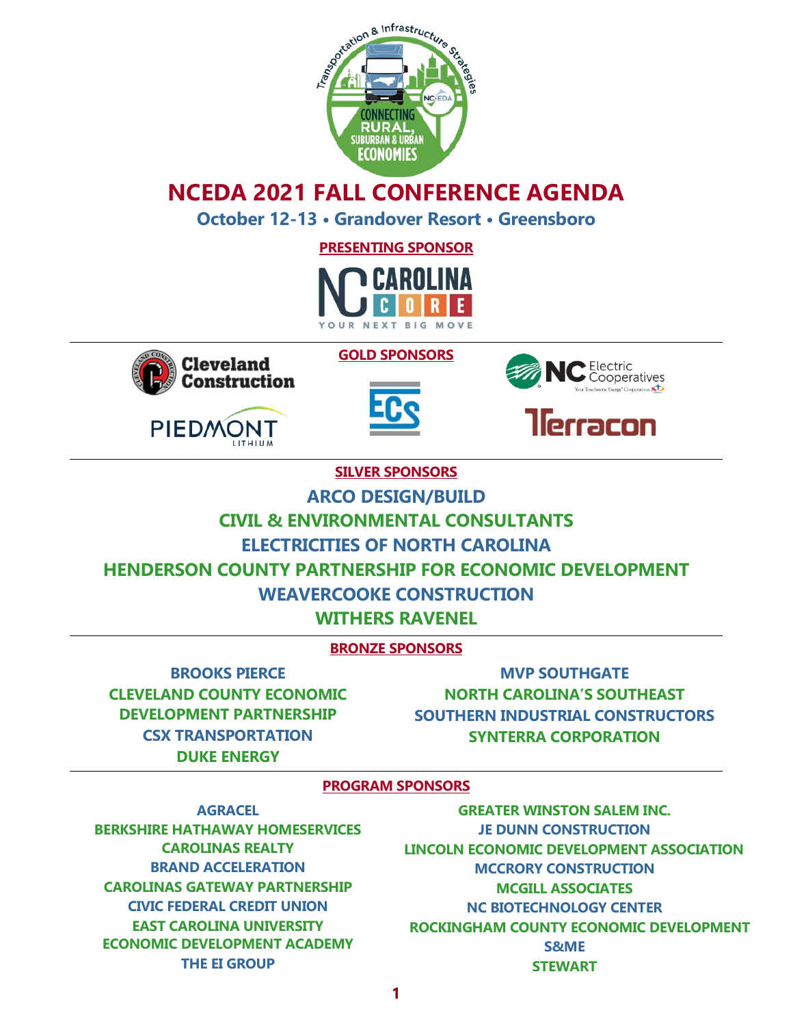

# **NCEDA 2021 FALL CONFERENCE AGENDA**

**October 12-13 • Grandover Resort • Greensboro**

**PRESENTING SPONSOR**





PIEDMONT

**LITHIUM** 



**GOLD SPONSORS**



**SILVER SPONSORS**

**ARCO DESIGN/BUILD**

**CIVIL & ENVIRONMENTAL CONSULTANTS**

**ELECTRICITIES OF NORTH CAROLINA**

**HENDERSON COUNTY PARTNERSHIP FOR ECONOMIC DEVELOPMENT**

### **WEAVERCOOKE CONSTRUCTION**

**WITHERS RAVENEL**

### **BRONZE SPONSORS**

**BROOKS PIERCE CLEVELAND COUNTY ECONOMIC DEVELOPMENT PARTNERSHIP CSX TRANSPORTATION DUKE ENERGY**

**MVP SOUTHGATE NORTH CAROLINA'S SOUTHEAST SOUTHERN INDUSTRIAL CONSTRUCTORS SYNTERRA CORPORATION**

#### **PROGRAM SPONSORS**

**AGRACEL BERKSHIRE HATHAWAY HOMESERVICES CAROLINAS REALTY BRAND ACCELERATION CAROLINAS GATEWAY PARTNERSHIP CIVIC FEDERAL CREDIT UNION EAST CAROLINA UNIVERSITY ECONOMIC DEVELOPMENT ACADEMY THE EI GROUP**

**GREATER WINSTON SALEM INC. JE DUNN CONSTRUCTION LINCOLN ECONOMIC DEVELOPMENT ASSOCIATION MCCRORY CONSTRUCTION MCGILL ASSOCIATES NC BIOTECHNOLOGY CENTER ROCKINGHAM COUNTY ECONOMIC DEVELOPMENT S&ME STEWART**

**1**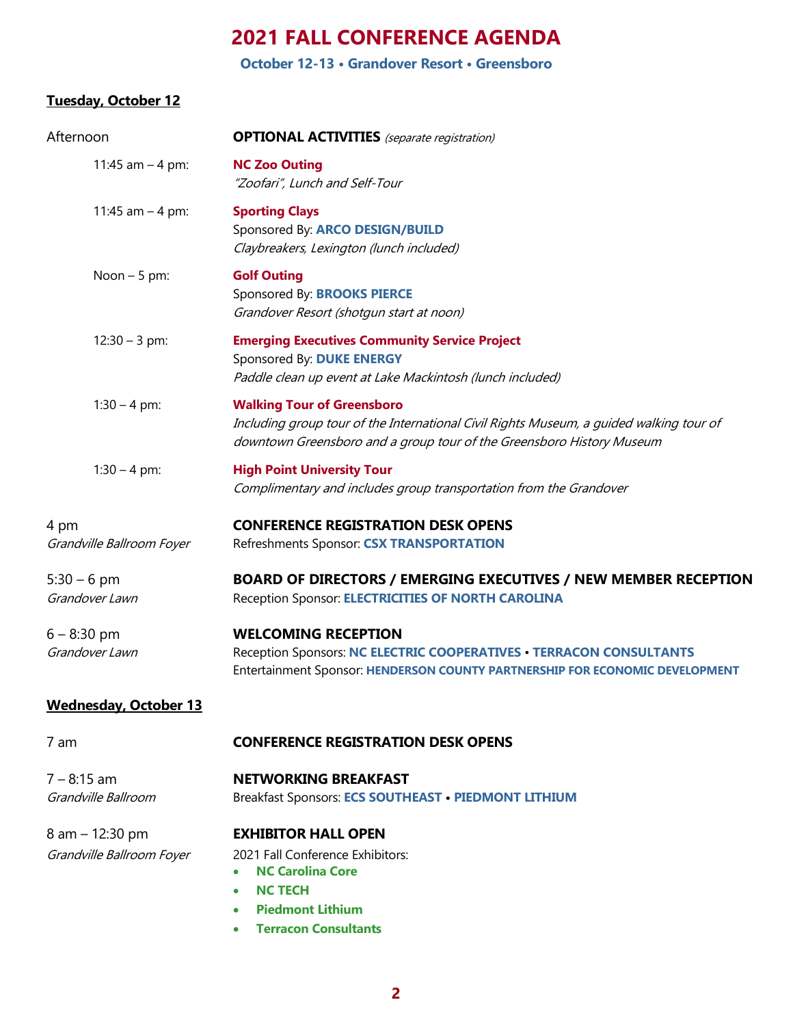**October 12-13 • Grandover Resort • Greensboro**

#### **Tuesday, October 12**

| Afternoon                                    | <b>OPTIONAL ACTIVITIES</b> (separate registration)                                                                                                                                                    |  |
|----------------------------------------------|-------------------------------------------------------------------------------------------------------------------------------------------------------------------------------------------------------|--|
| 11:45 $am - 4 pm$ :                          | <b>NC Zoo Outing</b><br>"Zoofari", Lunch and Self-Tour                                                                                                                                                |  |
| 11:45 am $-$ 4 pm:                           | <b>Sporting Clays</b><br>Sponsored By: ARCO DESIGN/BUILD<br>Claybreakers, Lexington (lunch included)                                                                                                  |  |
| Noon $-5$ pm:                                | <b>Golf Outing</b><br>Sponsored By: <b>BROOKS PIERCE</b><br>Grandover Resort (shotgun start at noon)                                                                                                  |  |
| $12:30 - 3$ pm:                              | <b>Emerging Executives Community Service Project</b><br>Sponsored By: DUKE ENERGY<br>Paddle clean up event at Lake Mackintosh (lunch included)                                                        |  |
| $1:30 - 4$ pm:                               | <b>Walking Tour of Greensboro</b><br>Including group tour of the International Civil Rights Museum, a guided walking tour of<br>downtown Greensboro and a group tour of the Greensboro History Museum |  |
| $1:30 - 4$ pm:                               | <b>High Point University Tour</b><br>Complimentary and includes group transportation from the Grandover                                                                                               |  |
| 4 pm<br>Grandville Ballroom Foyer            | <b>CONFERENCE REGISTRATION DESK OPENS</b><br>Refreshments Sponsor: CSX TRANSPORTATION                                                                                                                 |  |
| $5:30 - 6$ pm<br>Grandover Lawn              | <b>BOARD OF DIRECTORS / EMERGING EXECUTIVES / NEW MEMBER RECEPTION</b><br>Reception Sponsor: ELECTRICITIES OF NORTH CAROLINA                                                                          |  |
| 6 – 8:30 pm<br>Grandover Lawn                | <b>WELCOMING RECEPTION</b><br>Reception Sponsors: NC ELECTRIC COOPERATIVES . TERRACON CONSULTANTS<br>Entertainment Sponsor: HENDERSON COUNTY PARTNERSHIP FOR ECONOMIC DEVELOPMENT                     |  |
| <u>Wednesday, October 13</u>                 |                                                                                                                                                                                                       |  |
| 7 am                                         | <b>CONFERENCE REGISTRATION DESK OPENS</b>                                                                                                                                                             |  |
| 7 – 8:15 am<br>Grandville Ballroom           | <b>NETWORKING BREAKFAST</b><br>Breakfast Sponsors: ECS SOUTHEAST · PIEDMONT LITHIUM                                                                                                                   |  |
| 8 am - 12:30 pm<br>Grandville Ballroom Foyer | <b>EXHIBITOR HALL OPEN</b><br>2021 Fall Conference Exhibitors:<br><b>NC Carolina Core</b><br><b>NC TECH</b><br><b>Piedmont Lithium</b><br>$\bullet$<br>• Terracon Consultants                         |  |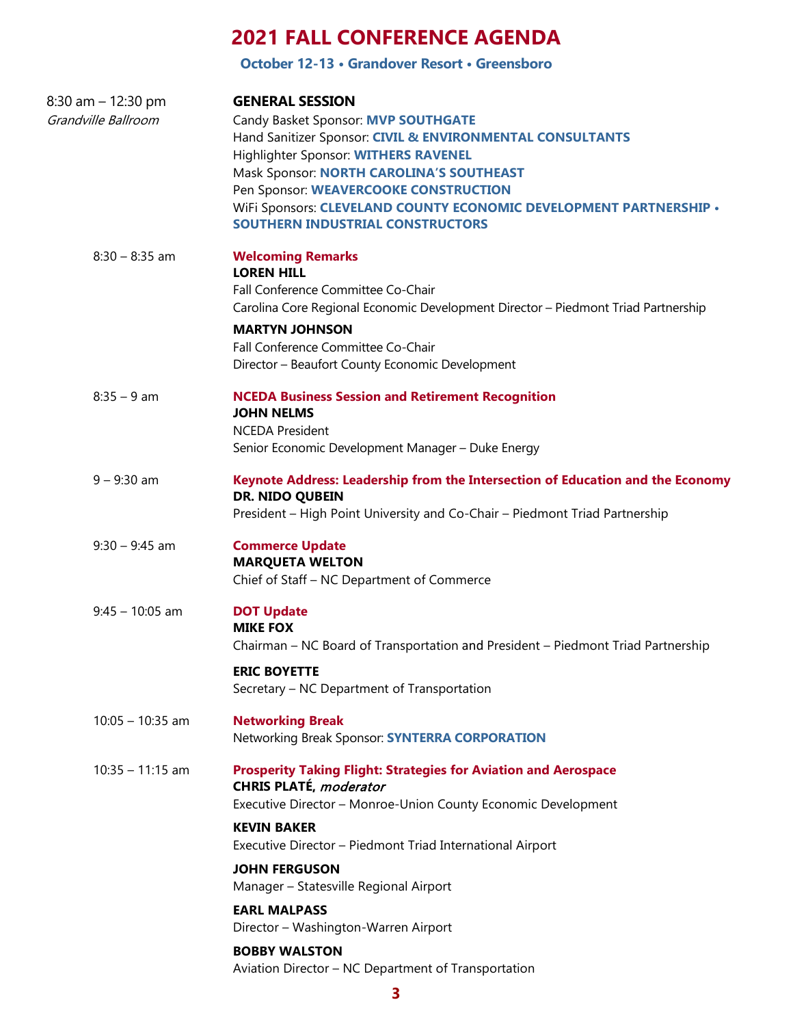**October 12-13 • Grandover Resort • Greensboro**

| 8:30 am - 12:30 pm<br>Grandville Ballroom | <b>GENERAL SESSION</b><br>Candy Basket Sponsor: MVP SOUTHGATE<br>Hand Sanitizer Sponsor: CIVIL & ENVIRONMENTAL CONSULTANTS<br>Highlighter Sponsor: WITHERS RAVENEL<br>Mask Sponsor: NORTH CAROLINA'S SOUTHEAST<br>Pen Sponsor: WEAVERCOOKE CONSTRUCTION<br>WiFi Sponsors: CLEVELAND COUNTY ECONOMIC DEVELOPMENT PARTNERSHIP .<br><b>SOUTHERN INDUSTRIAL CONSTRUCTORS</b> |
|-------------------------------------------|--------------------------------------------------------------------------------------------------------------------------------------------------------------------------------------------------------------------------------------------------------------------------------------------------------------------------------------------------------------------------|
| $8:30 - 8:35$ am                          | <b>Welcoming Remarks</b><br><b>LOREN HILL</b><br>Fall Conference Committee Co-Chair<br>Carolina Core Regional Economic Development Director - Piedmont Triad Partnership<br><b>MARTYN JOHNSON</b><br>Fall Conference Committee Co-Chair<br>Director - Beaufort County Economic Development                                                                               |
| $8:35 - 9$ am                             | <b>NCEDA Business Session and Retirement Recognition</b><br><b>JOHN NELMS</b><br><b>NCEDA President</b><br>Senior Economic Development Manager - Duke Energy                                                                                                                                                                                                             |
| $9 - 9:30$ am                             | Keynote Address: Leadership from the Intersection of Education and the Economy<br>DR. NIDO QUBEIN<br>President - High Point University and Co-Chair - Piedmont Triad Partnership                                                                                                                                                                                         |
| $9:30 - 9:45$ am                          | <b>Commerce Update</b><br><b>MARQUETA WELTON</b><br>Chief of Staff - NC Department of Commerce                                                                                                                                                                                                                                                                           |
| $9:45 - 10:05$ am                         | <b>DOT Update</b><br><b>MIKE FOX</b><br>Chairman - NC Board of Transportation and President - Piedmont Triad Partnership<br><b>ERIC BOYETTE</b><br>Secretary – NC Department of Transportation                                                                                                                                                                           |
| $10:05 - 10:35$ am                        | <b>Networking Break</b><br>Networking Break Sponsor: SYNTERRA CORPORATION                                                                                                                                                                                                                                                                                                |
| $10:35 - 11:15$ am                        | <b>Prosperity Taking Flight: Strategies for Aviation and Aerospace</b><br>CHRIS PLATÉ, moderator<br>Executive Director - Monroe-Union County Economic Development                                                                                                                                                                                                        |
|                                           | <b>KEVIN BAKER</b><br>Executive Director - Piedmont Triad International Airport                                                                                                                                                                                                                                                                                          |
|                                           | <b>JOHN FERGUSON</b><br>Manager - Statesville Regional Airport                                                                                                                                                                                                                                                                                                           |
|                                           | <b>EARL MALPASS</b><br>Director - Washington-Warren Airport                                                                                                                                                                                                                                                                                                              |
|                                           | <b>BOBBY WALSTON</b><br>Aviation Director - NC Department of Transportation                                                                                                                                                                                                                                                                                              |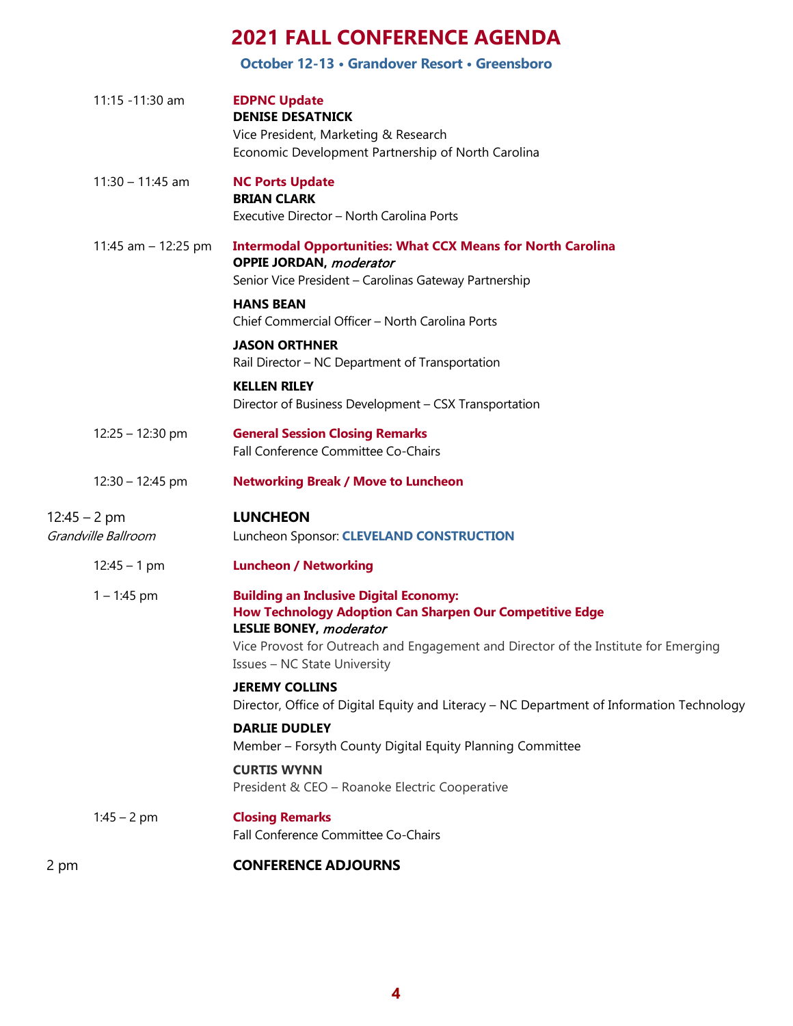#### **October 12-13 • Grandover Resort • Greensboro**

|                | 11:15 -11:30 am     | <b>EDPNC Update</b><br><b>DENISE DESATNICK</b><br>Vice President, Marketing & Research<br>Economic Development Partnership of North Carolina                                                                                                                       |
|----------------|---------------------|--------------------------------------------------------------------------------------------------------------------------------------------------------------------------------------------------------------------------------------------------------------------|
|                | $11:30 - 11:45$ am  | <b>NC Ports Update</b><br><b>BRIAN CLARK</b><br>Executive Director - North Carolina Ports                                                                                                                                                                          |
|                | 11:45 am - 12:25 pm | <b>Intermodal Opportunities: What CCX Means for North Carolina</b><br><b>OPPIE JORDAN, moderator</b><br>Senior Vice President - Carolinas Gateway Partnership                                                                                                      |
|                |                     | <b>HANS BEAN</b><br>Chief Commercial Officer - North Carolina Ports                                                                                                                                                                                                |
|                |                     | <b>JASON ORTHNER</b><br>Rail Director - NC Department of Transportation                                                                                                                                                                                            |
|                |                     | <b>KELLEN RILEY</b><br>Director of Business Development - CSX Transportation                                                                                                                                                                                       |
|                | $12:25 - 12:30$ pm  | <b>General Session Closing Remarks</b><br>Fall Conference Committee Co-Chairs                                                                                                                                                                                      |
|                | $12:30 - 12:45$ pm  | <b>Networking Break / Move to Luncheon</b>                                                                                                                                                                                                                         |
| $12:45 - 2$ pm | Grandville Ballroom | <b>LUNCHEON</b><br>Luncheon Sponsor: CLEVELAND CONSTRUCTION                                                                                                                                                                                                        |
|                | $12:45 - 1$ pm      | <b>Luncheon / Networking</b>                                                                                                                                                                                                                                       |
|                | $1 - 1:45$ pm       | <b>Building an Inclusive Digital Economy:</b><br>How Technology Adoption Can Sharpen Our Competitive Edge<br>LESLIE BONEY, moderator<br>Vice Provost for Outreach and Engagement and Director of the Institute for Emerging<br><b>Issues - NC State University</b> |
|                |                     | <b>JEREMY COLLINS</b><br>Director, Office of Digital Equity and Literacy - NC Department of Information Technology                                                                                                                                                 |
|                |                     | <b>DARLIE DUDLEY</b><br>Member - Forsyth County Digital Equity Planning Committee                                                                                                                                                                                  |
|                |                     | <b>CURTIS WYNN</b><br>President & CEO - Roanoke Electric Cooperative                                                                                                                                                                                               |
|                | $1:45 - 2$ pm       | <b>Closing Remarks</b><br>Fall Conference Committee Co-Chairs                                                                                                                                                                                                      |
| 2 pm           |                     | <b>CONFERENCE ADJOURNS</b>                                                                                                                                                                                                                                         |